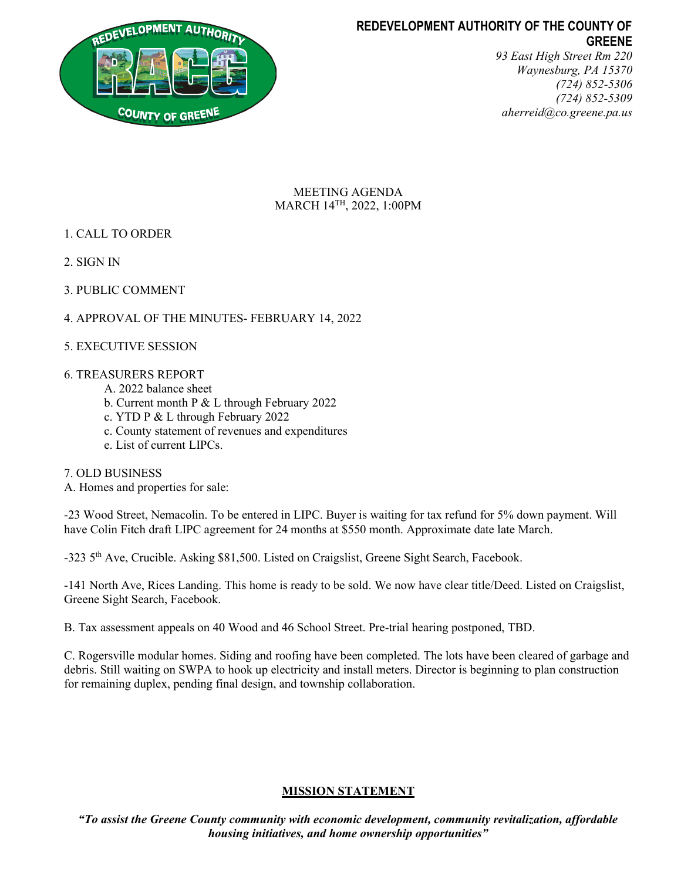

# REDEVELOPMENT AUTHORITY OF THE COUNTY OF GREENE

93 East High Street Rm 220 Waynesburg, PA 15370 (724) 852-5306 (724) 852-5309 aherreid@co.greene.pa.us

MEETING AGENDA MARCH 14TH, 2022, 1:00PM

- 1. CALL TO ORDER
- 2. SIGN IN
- 3. PUBLIC COMMENT
- 4. APPROVAL OF THE MINUTES- FEBRUARY 14, 2022
- 5. EXECUTIVE SESSION

## 6. TREASURERS REPORT

- A. 2022 balance sheet
- b. Current month P & L through February 2022
- c. YTD P & L through February 2022
- c. County statement of revenues and expenditures
- e. List of current LIPCs.

7. OLD BUSINESS

A. Homes and properties for sale:

-23 Wood Street, Nemacolin. To be entered in LIPC. Buyer is waiting for tax refund for 5% down payment. Will have Colin Fitch draft LIPC agreement for 24 months at \$550 month. Approximate date late March.

-323 5<sup>th</sup> Ave, Crucible. Asking \$81,500. Listed on Craigslist, Greene Sight Search, Facebook.

-141 North Ave, Rices Landing. This home is ready to be sold. We now have clear title/Deed. Listed on Craigslist, Greene Sight Search, Facebook.

B. Tax assessment appeals on 40 Wood and 46 School Street. Pre-trial hearing postponed, TBD.

C. Rogersville modular homes. Siding and roofing have been completed. The lots have been cleared of garbage and debris. Still waiting on SWPA to hook up electricity and install meters. Director is beginning to plan construction for remaining duplex, pending final design, and township collaboration.

## MISSION STATEMENT

"To assist the Greene County community with economic development, community revitalization, affordable housing initiatives, and home ownership opportunities"